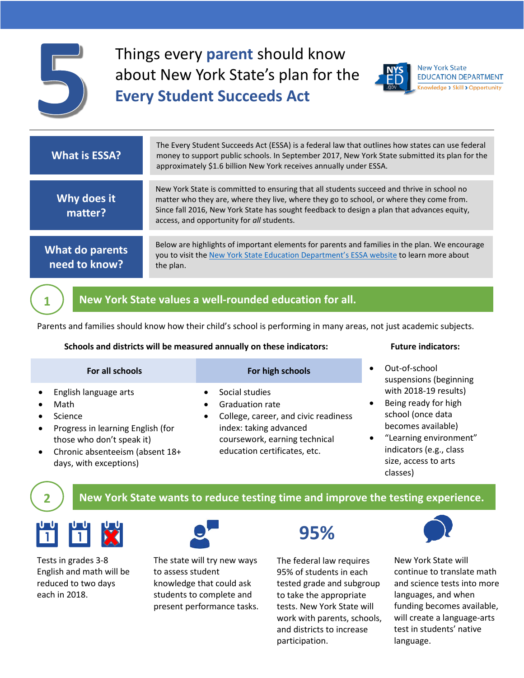

Things every **parent** should know about New York State's plan for the **Every Student Succeeds Act** 



| <b>What is ESSA?</b>                                    | The Every Student Succeeds Act (ESSA) is a federal law that outlines how states can use federal<br>money to support public schools. In September 2017, New York State submitted its plan for the<br>approximately \$1.6 billion New York receives annually under ESSA.                                                          |  |  |
|---------------------------------------------------------|---------------------------------------------------------------------------------------------------------------------------------------------------------------------------------------------------------------------------------------------------------------------------------------------------------------------------------|--|--|
| Why does it<br>matter?                                  | New York State is committed to ensuring that all students succeed and thrive in school no<br>matter who they are, where they live, where they go to school, or where they come from.<br>Since fall 2016, New York State has sought feedback to design a plan that advances equity,<br>access, and opportunity for all students. |  |  |
| What do parents<br>need to know?                        | Below are highlights of important elements for parents and families in the plan. We encourage<br>you to visit the New York State Education Department's ESSA website to learn more about<br>the plan.                                                                                                                           |  |  |
| New York State values a well-rounded education for all. |                                                                                                                                                                                                                                                                                                                                 |  |  |

Parents and families should know how their child's school is performing in many areas, not just academic subjects.

|                                                  | Schools and districts will be measured annually on these indicators:                                                                                                    | <b>Future indicators:</b>                                                                                                                                                                                          |                                                                                                                                                                                                  |
|--------------------------------------------------|-------------------------------------------------------------------------------------------------------------------------------------------------------------------------|--------------------------------------------------------------------------------------------------------------------------------------------------------------------------------------------------------------------|--------------------------------------------------------------------------------------------------------------------------------------------------------------------------------------------------|
|                                                  | For all schools                                                                                                                                                         | For high schools                                                                                                                                                                                                   | Out-of-school<br>suspensions (beginning                                                                                                                                                          |
| $\bullet$<br>$\bullet$<br>$\bullet$<br>$\bullet$ | English language arts<br>Math<br>Science<br>Progress in learning English (for<br>those who don't speak it)<br>Chronic absenteeism (absent 18+<br>days, with exceptions) | Social studies<br>$\bullet$<br><b>Graduation rate</b><br>$\bullet$<br>College, career, and civic readiness<br>$\bullet$<br>index: taking advanced<br>coursework, earning technical<br>education certificates, etc. | with 2018-19 results)<br>Being ready for high<br>$\bullet$<br>school (once data<br>becomes available)<br>• "Learning environment"<br>indicators (e.g., class<br>size, access to arts<br>classes) |

## **2 New York State wants to reduce testing time and improve the testing experience.**



Tests in grades 3-8 English and math will be reduced to two days each in 2018.



The state will try new ways to assess student knowledge that could ask students to complete and present performance tasks.

## **95%**

The federal law requires 95% of students in each tested grade and subgroup to take the appropriate tests. New York State will work with parents, schools , and districts to increase participation.



New York State will continue to translate math and science tests into more languages, and when funding becomes available, will create a language-arts test in students' native language.